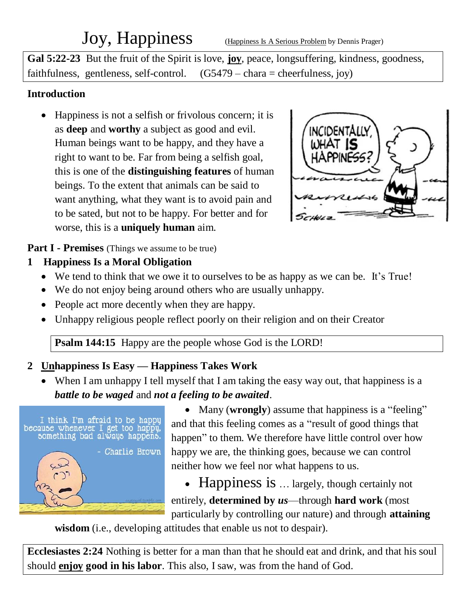# Joy, Happiness (Happiness Is A Serious Problem by Dennis Prager)

**Gal 5:22-23** But the fruit of the Spirit is love, **joy**, peace, longsuffering, kindness, goodness, faithfulness, gentleness, self-control.  $(G5479 - \text{chara} = \text{cherfulness}, joy)$ 

#### **Introduction**

• Happiness is not a selfish or frivolous concern; it is as **deep** and **worthy** a subject as good and evil. Human beings want to be happy, and they have a right to want to be. Far from being a selfish goal, this is one of the **distinguishing features** of human beings. To the extent that animals can be said to want anything, what they want is to avoid pain and to be sated, but not to be happy. For better and for worse, this is a **uniquely human** aim.



**Part I - Premises** (Things we assume to be true)

- **1 Happiness Is a Moral Obligation**
	- We tend to think that we owe it to ourselves to be as happy as we can be. It's True!
	- We do not enjoy being around others who are usually unhappy.
	- People act more decently when they are happy.
	- Unhappy religious people reflect poorly on their religion and on their Creator

**Psalm 144:15** Happy are the people whose God is the LORD!

# **2 Unhappiness Is Easy — Happiness Takes Work**

• When I am unhappy I tell myself that I am taking the easy way out, that happiness is a *battle to be waged* and *not a feeling to be awaited*.



• Many (**wrongly**) assume that happiness is a "feeling" and that this feeling comes as a "result of good things that happen" to them. We therefore have little control over how happy we are, the thinking goes, because we can control neither how we feel nor what happens to us.

• Happiness is ... largely, though certainly not entirely, **determined by** *us*—through **hard work** (most particularly by controlling our nature) and through **attaining** 

**wisdom** (i.e., developing attitudes that enable us not to despair).

**Ecclesiastes 2:24** Nothing is better for a man than that he should eat and drink, and that his soul should **enjoy good in his labor**. This also, I saw, was from the hand of God.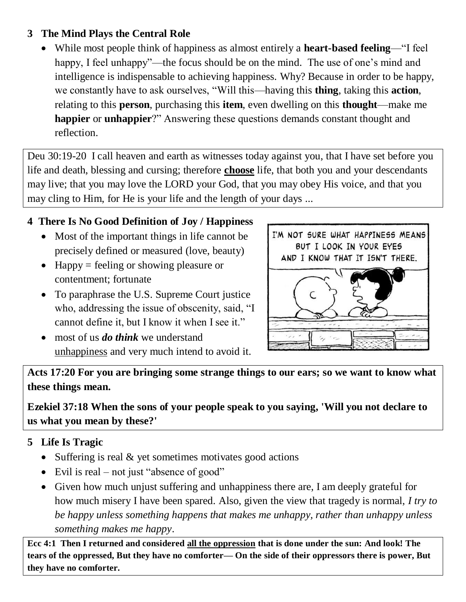#### **3 The Mind Plays the Central Role**

 While most people think of happiness as almost entirely a **heart-based feeling**—"I feel happy, I feel unhappy"—the focus should be on the mind. The use of one's mind and intelligence is indispensable to achieving happiness. Why? Because in order to be happy, we constantly have to ask ourselves, "Will this—having this **thing**, taking this **action**, relating to this **person**, purchasing this **item**, even dwelling on this **thought**—make me **happier** or **unhappier**?" Answering these questions demands constant thought and reflection.

Deu 30:19-20 I call heaven and earth as witnesses today against you, that I have set before you life and death, blessing and cursing; therefore **choose** life, that both you and your descendants may live; that you may love the LORD your God, that you may obey His voice, and that you may cling to Him, for He is your life and the length of your days ...

## **4 There Is No Good Definition of Joy / Happiness**

- Most of the important things in life cannot be precisely defined or measured (love, beauty)
- $\bullet$  Happy = feeling or showing pleasure or contentment; fortunate
- To paraphrase the U.S. Supreme Court justice who, addressing the issue of obscenity, said, "I cannot define it, but I know it when I see it."
- most of us *do think* we understand unhappiness and very much intend to avoid it.

I'M NOT SURE WHAT HAPPINESS MEANS BUT I LOOK IN YOUR EYES AND I KNOW THAT IT ISN'T THERE.



**Acts 17:20 For you are bringing some strange things to our ears; so we want to know what these things mean.**

# **Ezekiel 37:18 When the sons of your people speak to you saying, 'Will you not declare to us what you mean by these?'**

# **5 Life Is Tragic**

- Suffering is real  $&$  yet sometimes motivates good actions
- Evil is real not just "absence of good"
- Given how much unjust suffering and unhappiness there are, I am deeply grateful for how much misery I have been spared. Also, given the view that tragedy is normal, *I try to be happy unless something happens that makes me unhappy, rather than unhappy unless something makes me happy*.

**Ecc 4:1 Then I returned and considered all the oppression that is done under the sun: And look! The tears of the oppressed, But they have no comforter— On the side of their oppressors there is power, But they have no comforter.**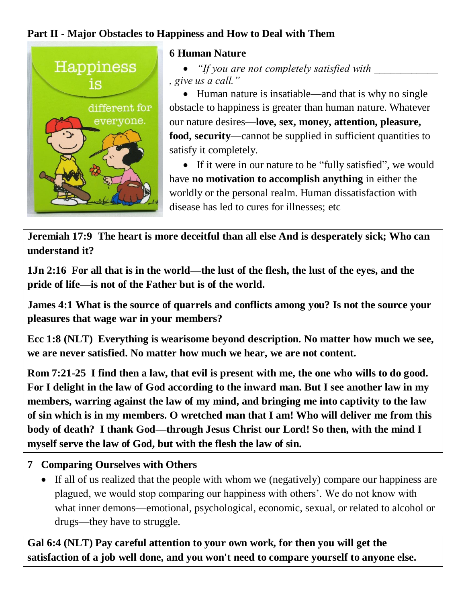### **Part II - Major Obstacles to Happiness and How to Deal with Them**



#### **6 Human Nature**

• *"If you are not completely satisfied with , give us a call."*

• Human nature is insatiable—and that is why no single obstacle to happiness is greater than human nature. Whatever our nature desires—**love, sex, money, attention, pleasure, food, security**—cannot be supplied in sufficient quantities to satisfy it completely.

 If it were in our nature to be "fully satisfied", we would have **no motivation to accomplish anything** in either the worldly or the personal realm. Human dissatisfaction with disease has led to cures for illnesses; etc

**Jeremiah 17:9 The heart is more deceitful than all else And is desperately sick; Who can understand it?**

**1Jn 2:16 For all that is in the world—the lust of the flesh, the lust of the eyes, and the pride of life—is not of the Father but is of the world.**

**James 4:1 What is the source of quarrels and conflicts among you? Is not the source your pleasures that wage war in your members?**

**Ecc 1:8 (NLT) Everything is wearisome beyond description. No matter how much we see, we are never satisfied. No matter how much we hear, we are not content.**

**Rom 7:21-25 I find then a law, that evil is present with me, the one who wills to do good. For I delight in the law of God according to the inward man. But I see another law in my members, warring against the law of my mind, and bringing me into captivity to the law of sin which is in my members. O wretched man that I am! Who will deliver me from this body of death? I thank God—through Jesus Christ our Lord! So then, with the mind I myself serve the law of God, but with the flesh the law of sin.**

#### **7 Comparing Ourselves with Others**

 If all of us realized that the people with whom we (negatively) compare our happiness are plagued, we would stop comparing our happiness with others'. We do not know with what inner demons—emotional, psychological, economic, sexual, or related to alcohol or drugs—they have to struggle.

**Gal 6:4 (NLT) Pay careful attention to your own work, for then you will get the satisfaction of a job well done, and you won't need to compare yourself to anyone else.**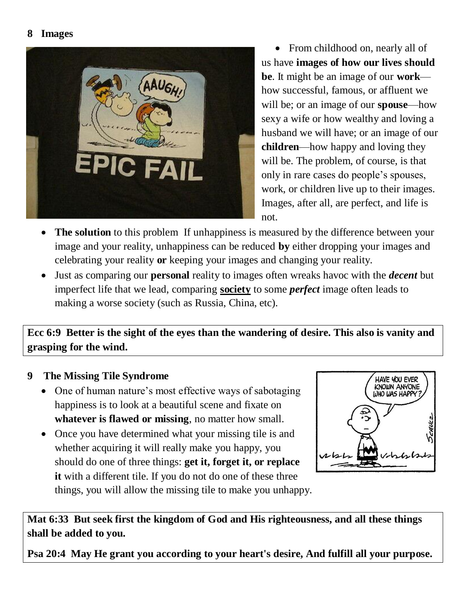#### **8 Images**



• From childhood on, nearly all of us have **images of how our lives should be**. It might be an image of our **work** how successful, famous, or affluent we will be; or an image of our **spouse**—how sexy a wife or how wealthy and loving a husband we will have; or an image of our **children**—how happy and loving they will be. The problem, of course, is that only in rare cases do people's spouses, work, or children live up to their images. Images, after all, are perfect, and life is not.

- **The solution** to this problem If unhappiness is measured by the difference between your image and your reality, unhappiness can be reduced **by** either dropping your images and celebrating your reality **or** keeping your images and changing your reality.
- Just as comparing our **personal** reality to images often wreaks havoc with the *decent* but imperfect life that we lead, comparing **society** to some *perfect* image often leads to making a worse society (such as Russia, China, etc).

**Ecc 6:9 Better is the sight of the eyes than the wandering of desire. This also is vanity and grasping for the wind.**

#### **9 The Missing Tile Syndrome**

- One of human nature's most effective ways of sabotaging happiness is to look at a beautiful scene and fixate on **whatever is flawed or missing**, no matter how small.
- Once you have determined what your missing tile is and whether acquiring it will really make you happy, you should do one of three things: **get it, forget it, or replace it** with a different tile. If you do not do one of these three things, you will allow the missing tile to make you unhappy.



**Mat 6:33 But seek first the kingdom of God and His righteousness, and all these things shall be added to you.**

**Psa 20:4 May He grant you according to your heart's desire, And fulfill all your purpose.**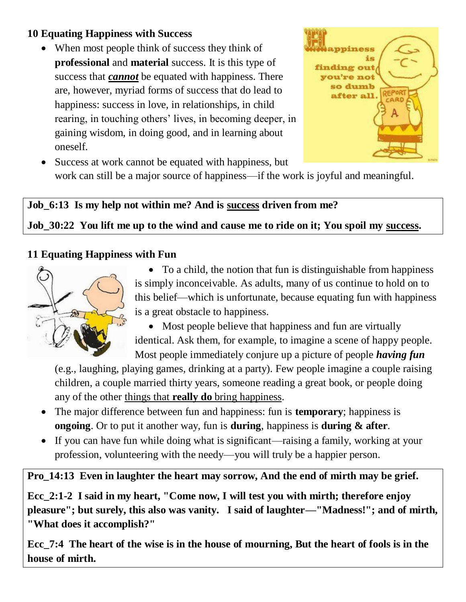## **10 Equating Happiness with Success**

• When most people think of success they think of **professional** and **material** success. It is this type of success that *cannot* be equated with happiness. There are, however, myriad forms of success that do lead to happiness: success in love, in relationships, in child rearing, in touching others' lives, in becoming deeper, in gaining wisdom, in doing good, and in learning about oneself.



• Success at work cannot be equated with happiness, but work can still be a major source of happiness—if the work is joyful and meaningful.

# **Job\_6:13 Is my help not within me? And is success driven from me?**

**Job\_30:22 You lift me up to the wind and cause me to ride on it; You spoil my success.**

#### **11 Equating Happiness with Fun**



• To a child, the notion that fun is distinguishable from happiness is simply inconceivable. As adults, many of us continue to hold on to this belief—which is unfortunate, because equating fun with happiness is a great obstacle to happiness.

• Most people believe that happiness and fun are virtually identical. Ask them, for example, to imagine a scene of happy people. Most people immediately conjure up a picture of people *having fun*

(e.g., laughing, playing games, drinking at a party). Few people imagine a couple raising children, a couple married thirty years, someone reading a great book, or people doing any of the other things that **really do** bring happiness.

- The major difference between fun and happiness: fun is **temporary**; happiness is **ongoing**. Or to put it another way, fun is **during**, happiness is **during & after**.
- If you can have fun while doing what is significant—raising a family, working at your profession, volunteering with the needy—you will truly be a happier person.

**Pro\_14:13 Even in laughter the heart may sorrow, And the end of mirth may be grief.** 

**Ecc\_2:1-2 I said in my heart, "Come now, I will test you with mirth; therefore enjoy pleasure"; but surely, this also was vanity. I said of laughter—"Madness!"; and of mirth, "What does it accomplish?"** 

**Ecc\_7:4 The heart of the wise is in the house of mourning, But the heart of fools is in the house of mirth.**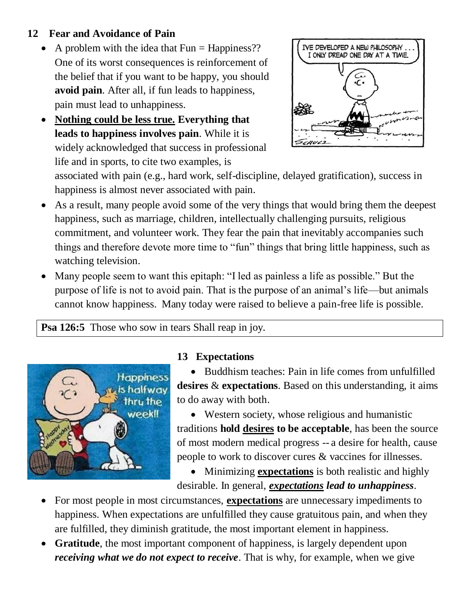#### **12 Fear and Avoidance of Pain**

- A problem with the idea that  $Fun = Happiness$ ?? One of its worst consequences is reinforcement of the belief that if you want to be happy, you should **avoid pain**. After all, if fun leads to happiness, pain must lead to unhappiness.
- **Nothing could be less true. Everything that leads to happiness involves pain**. While it is widely acknowledged that success in professional life and in sports, to cite two examples, is



associated with pain (e.g., hard work, self-discipline, delayed gratification), success in happiness is almost never associated with pain.

- As a result, many people avoid some of the very things that would bring them the deepest happiness, such as marriage, children, intellectually challenging pursuits, religious commitment, and volunteer work. They fear the pain that inevitably accompanies such things and therefore devote more time to "fun" things that bring little happiness, such as watching television.
- Many people seem to want this epitaph: "I led as painless a life as possible." But the purpose of life is not to avoid pain. That is the purpose of an animal's life—but animals cannot know happiness. Many today were raised to believe a pain-free life is possible.

#### **Psa 126:5** Those who sow in tears Shall reap in joy.



#### **13 Expectations**

• Buddhism teaches: Pain in life comes from unfulfilled **desires** & **expectations**. Based on this understanding, it aims to do away with both.

 Western society, whose religious and humanistic traditions **hold desires to be acceptable**, has been the source of most modern medical progress -- a desire for health, cause people to work to discover cures & vaccines for illnesses.

 Minimizing **expectations** is both realistic and highly desirable. In general, *expectations lead to unhappiness*.

- For most people in most circumstances, **expectations** are unnecessary impediments to happiness. When expectations are unfulfilled they cause gratuitous pain, and when they are fulfilled, they diminish gratitude, the most important element in happiness.
- **Gratitude**, the most important component of happiness, is largely dependent upon *receiving what we do not expect to receive*. That is why, for example, when we give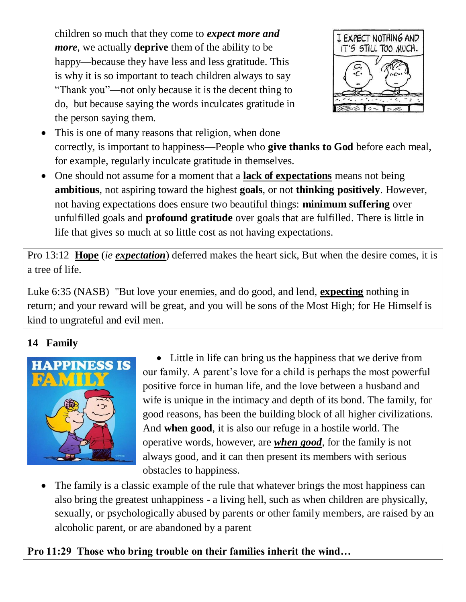children so much that they come to *expect more and more*, we actually **deprive** them of the ability to be happy—because they have less and less gratitude. This is why it is so important to teach children always to say "Thank you"—not only because it is the decent thing to do, but because saying the words inculcates gratitude in the person saying them.



- This is one of many reasons that religion, when done correctly, is important to happiness—People who **give thanks to God** before each meal, for example, regularly inculcate gratitude in themselves.
- One should not assume for a moment that a **lack of expectations** means not being **ambitious**, not aspiring toward the highest **goals**, or not **thinking positively**. However, not having expectations does ensure two beautiful things: **minimum suffering** over unfulfilled goals and **profound gratitude** over goals that are fulfilled. There is little in life that gives so much at so little cost as not having expectations.

Pro 13:12 **Hope** (*ie expectation*) deferred makes the heart sick, But when the desire comes, it is a tree of life.

Luke 6:35 (NASB) "But love your enemies, and do good, and lend, **expecting** nothing in return; and your reward will be great, and you will be sons of the Most High; for He Himself is kind to ungrateful and evil men.

# **14 Family**



• Little in life can bring us the happiness that we derive from our family. A parent's love for a child is perhaps the most powerful positive force in human life, and the love between a husband and wife is unique in the intimacy and depth of its bond. The family, for good reasons, has been the building block of all higher civilizations. And **when good**, it is also our refuge in a hostile world. The operative words, however, are *when good*, for the family is not always good, and it can then present its members with serious obstacles to happiness.

 The family is a classic example of the rule that whatever brings the most happiness can also bring the greatest unhappiness - a living hell, such as when children are physically, sexually, or psychologically abused by parents or other family members, are raised by an alcoholic parent, or are abandoned by a parent

# **Pro 11:29 Those who bring trouble on their families inherit the wind…**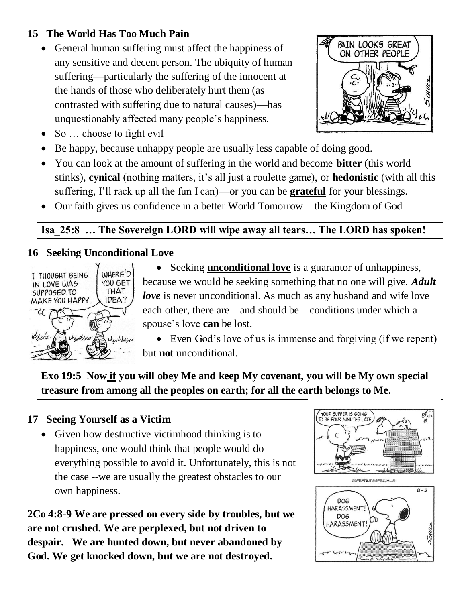## **15 The World Has Too Much Pain**

• General human suffering must affect the happiness of any sensitive and decent person. The ubiquity of human suffering—particularly the suffering of the innocent at the hands of those who deliberately hurt them (as contrasted with suffering due to natural causes)—has unquestionably affected many people's happiness.



- $\bullet$  So  $\ldots$  choose to fight evil
- Be happy, because unhappy people are usually less capable of doing good.
- You can look at the amount of suffering in the world and become **bitter** (this world stinks), **cynical** (nothing matters, it's all just a roulette game), or **hedonistic** (with all this suffering, I'll rack up all the fun I can)—or you can be **grateful** for your blessings.
- Our faith gives us confidence in a better World Tomorrow the Kingdom of God

## **Isa\_25:8 … The Sovereign LORD will wipe away all tears… The LORD has spoken!**

#### **16 Seeking Unconditional Love**



- Seeking **unconditional love** is a guarantor of unhappiness, because we would be seeking something that no one will give. *Adult love* is never unconditional. As much as any husband and wife love each other, there are—and should be—conditions under which a spouse's love **can** be lost.
- Even God's love of us is immense and forgiving (if we repent) but **not** unconditional.

**Exo 19:5 Now if you will obey Me and keep My covenant, you will be My own special treasure from among all the peoples on earth; for all the earth belongs to Me.**

# **17 Seeing Yourself as a Victim**

• Given how destructive victimhood thinking is to happiness, one would think that people would do everything possible to avoid it. Unfortunately, this is not the case --we are usually the greatest obstacles to our own happiness.

**2Co 4:8-9 We are pressed on every side by troubles, but we are not crushed. We are perplexed, but not driven to despair. We are hunted down, but never abandoned by God. We get knocked down, but we are not destroyed.**